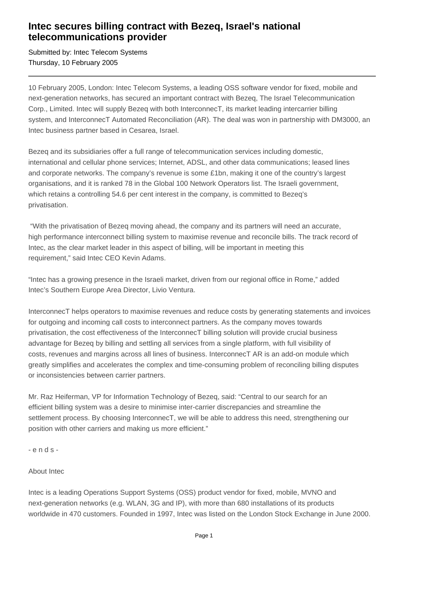## **Intec secures billing contract with Bezeq, Israel's national telecommunications provider**

Submitted by: Intec Telecom Systems Thursday, 10 February 2005

10 February 2005, London: Intec Telecom Systems, a leading OSS software vendor for fixed, mobile and next-generation networks, has secured an important contract with Bezeq, The Israel Telecommunication Corp., Limited. Intec will supply Bezeq with both InterconnecT, its market leading intercarrier billing system, and InterconnecT Automated Reconciliation (AR). The deal was won in partnership with DM3000, an Intec business partner based in Cesarea, Israel.

Bezeq and its subsidiaries offer a full range of telecommunication services including domestic, international and cellular phone services; Internet, ADSL, and other data communications; leased lines and corporate networks. The company's revenue is some £1bn, making it one of the country's largest organisations, and it is ranked 78 in the Global 100 Network Operators list. The Israeli government, which retains a controlling 54.6 per cent interest in the company, is committed to Bezeq's privatisation.

 "With the privatisation of Bezeq moving ahead, the company and its partners will need an accurate, high performance interconnect billing system to maximise revenue and reconcile bills. The track record of Intec, as the clear market leader in this aspect of billing, will be important in meeting this requirement," said Intec CEO Kevin Adams.

"Intec has a growing presence in the Israeli market, driven from our regional office in Rome," added Intec's Southern Europe Area Director, Livio Ventura.

InterconnecT helps operators to maximise revenues and reduce costs by generating statements and invoices for outgoing and incoming call costs to interconnect partners. As the company moves towards privatisation, the cost effectiveness of the InterconnecT billing solution will provide crucial business advantage for Bezeq by billing and settling all services from a single platform, with full visibility of costs, revenues and margins across all lines of business. InterconnecT AR is an add-on module which greatly simplifies and accelerates the complex and time-consuming problem of reconciling billing disputes or inconsistencies between carrier partners.

Mr. Raz Heiferman, VP for Information Technology of Bezeq, said: "Central to our search for an efficient billing system was a desire to minimise inter-carrier discrepancies and streamline the settlement process. By choosing InterconnecT, we will be able to address this need, strengthening our position with other carriers and making us more efficient."

- e n d s -

## About Intec

Intec is a leading Operations Support Systems (OSS) product vendor for fixed, mobile, MVNO and next-generation networks (e.g. WLAN, 3G and IP), with more than 680 installations of its products worldwide in 470 customers. Founded in 1997, Intec was listed on the London Stock Exchange in June 2000.